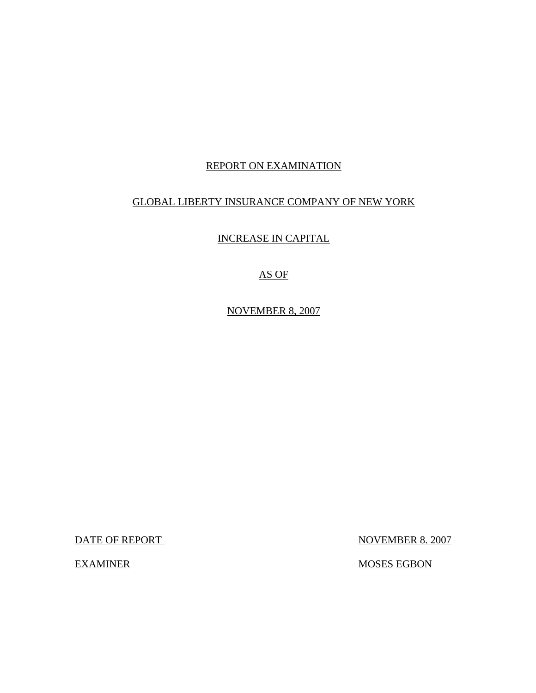# REPORT ON EXAMINATION

## GLOBAL LIBERTY INSURANCE COMPANY OF NEW YORK

INCREASE IN CAPITAL

AS OF

NOVEMBER 8, 2007

DATE OF REPORT NOVEMBER 8. 2007

EXAMINER MOSES EGBON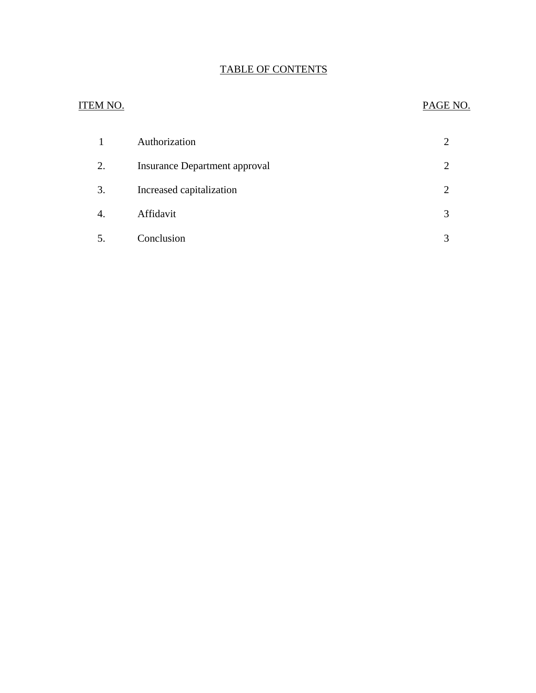# TABLE OF CONTENTS

# ITEM NO. PAGE NO.

| 1                | Authorization                        |  |
|------------------|--------------------------------------|--|
| 2.               | <b>Insurance Department approval</b> |  |
| 3.               | Increased capitalization             |  |
| $\overline{4}$ . | Affidavit                            |  |
| 5.               | Conclusion                           |  |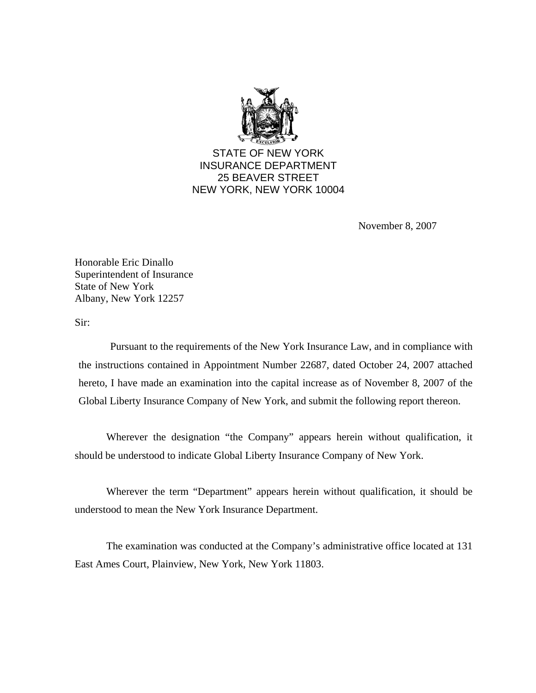

STATE OF NEW YORK INSURANCE DEPARTMENT 25 BEAVER STREET NEW YORK, NEW YORK 10004

November 8, 2007

Honorable Eric Dinallo Superintendent of Insurance State of New York Albany, New York 12257

Sir:

Pursuant to the requirements of the New York Insurance Law, and in compliance with the instructions contained in Appointment Number 22687, dated October 24, 2007 attached hereto, I have made an examination into the capital increase as of November 8, 2007 of the Global Liberty Insurance Company of New York, and submit the following report thereon.

Wherever the designation "the Company" appears herein without qualification, it should be understood to indicate Global Liberty Insurance Company of New York.

Wherever the term "Department" appears herein without qualification, it should be understood to mean the New York Insurance Department.

The examination was conducted at the Company's administrative office located at 131 East Ames Court, Plainview, New York, New York 11803.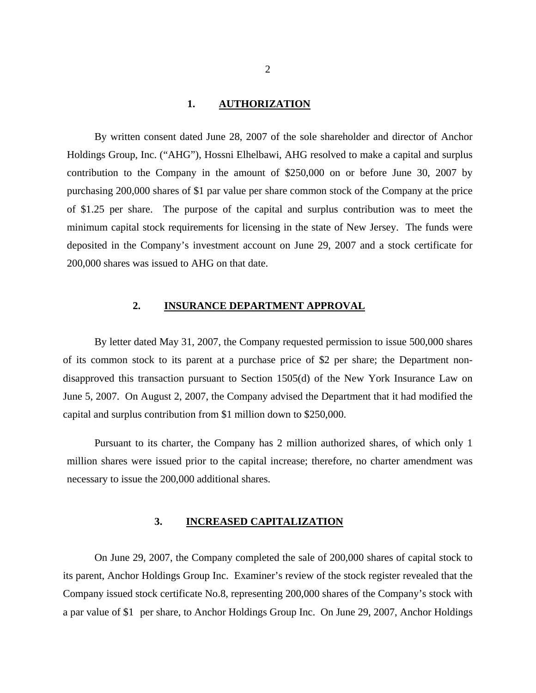#### **1. AUTHORIZATION**

<span id="page-3-0"></span>By written consent dated June 28, 2007 of the sole shareholder and director of Anchor Holdings Group, Inc. ("AHG"), Hossni Elhelbawi, AHG resolved to make a capital and surplus contribution to the Company in the amount of \$250,000 on or before June 30, 2007 by purchasing 200,000 shares of \$1 par value per share common stock of the Company at the price of \$1.25 per share. The purpose of the capital and surplus contribution was to meet the minimum capital stock requirements for licensing in the state of New Jersey. The funds were deposited in the Company's investment account on June 29, 2007 and a stock certificate for 200,000 shares was issued to AHG on that date.

### **2. INSURANCE DEPARTMENT APPROVAL**

By letter dated May 31, 2007, the Company requested permission to issue 500,000 shares of its common stock to its parent at a purchase price of \$2 per share; the Department nondisapproved this transaction pursuant to Section 1505(d) of the New York Insurance Law on June 5, 2007. On August 2, 2007, the Company advised the Department that it had modified the capital and surplus contribution from \$1 million down to \$250,000.

Pursuant to its charter, the Company has 2 million authorized shares, of which only 1 million shares were issued prior to the capital increase; therefore, no charter amendment was necessary to issue the 200,000 additional shares.

#### **3. INCREASED CAPITALIZATION**

On June 29, 2007, the Company completed the sale of 200,000 shares of capital stock to its parent, Anchor Holdings Group Inc. Examiner's review of the stock register revealed that the Company issued stock certificate No.8, representing 200,000 shares of the Company's stock with a par value of \$1 per share, to Anchor Holdings Group Inc. On June 29, 2007, Anchor Holdings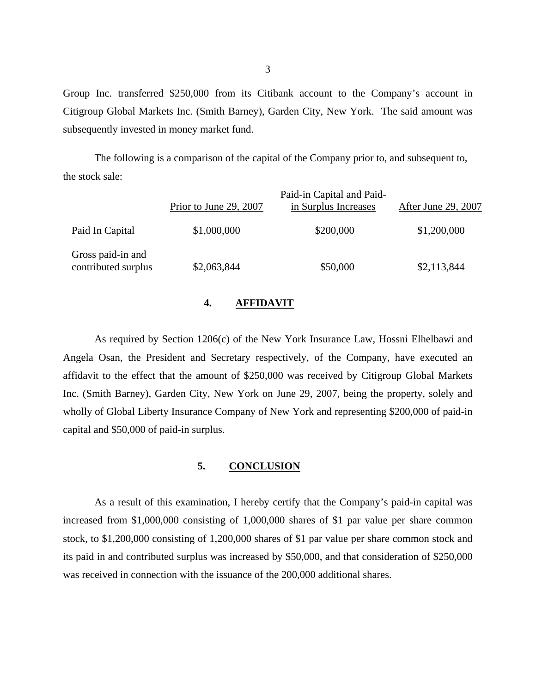Group Inc. transferred \$250,000 from its Citibank account to the Company's account in Citigroup Global Markets Inc. (Smith Barney), Garden City, New York. The said amount was subsequently invested in money market fund.

The following is a comparison of the capital of the Company prior to, and subsequent to, the stock sale:

|                                          | Prior to June 29, 2007 | Paid-in Capital and Paid-<br>in Surplus Increases | After June 29, 2007 |
|------------------------------------------|------------------------|---------------------------------------------------|---------------------|
| Paid In Capital                          | \$1,000,000            | \$200,000                                         | \$1,200,000         |
| Gross paid-in and<br>contributed surplus | \$2,063,844            | \$50,000                                          | \$2,113,844         |

#### **4. AFFIDAVIT**

As required by Section 1206(c) of the New York Insurance Law, Hossni Elhelbawi and Angela Osan, the President and Secretary respectively, of the Company, have executed an affidavit to the effect that the amount of \$250,000 was received by Citigroup Global Markets Inc. (Smith Barney), Garden City, New York on June 29, 2007, being the property, solely and wholly of Global Liberty Insurance Company of New York and representing \$200,000 of paid-in capital and \$50,000 of paid-in surplus.

### **5. CONCLUSION**

As a result of this examination, I hereby certify that the Company's paid-in capital was increased from \$1,000,000 consisting of 1,000,000 shares of \$1 par value per share common stock, to \$1,200,000 consisting of 1,200,000 shares of \$1 par value per share common stock and its paid in and contributed surplus was increased by \$50,000, and that consideration of \$250,000 was received in connection with the issuance of the 200,000 additional shares.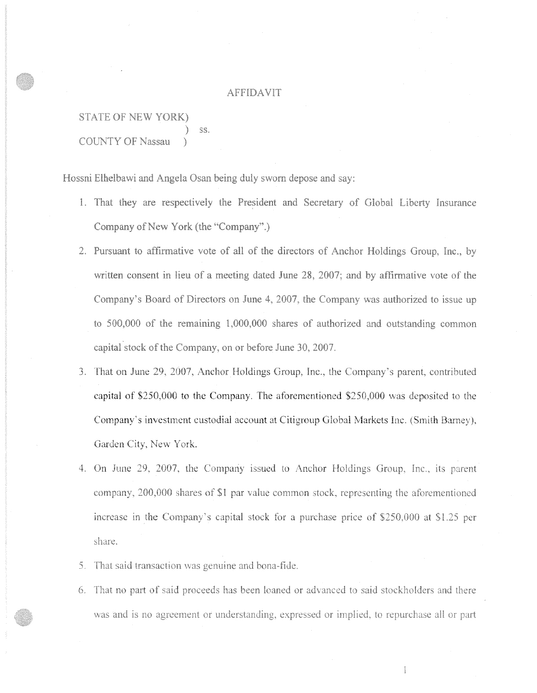#### AFFIDAVIT

STATE OF NEW YORK) ) ss. COUNTY OF Nassau

Hossni Elhelbawi and Angela Osan being duly sworn depose and say:

- l. That they are respectively the President and Secretary of Giobai Liberty Insurance Company of New York (the "Company".)
- 2. Pursuant to affirmative vote of all of the directors of Anchor Holdings Group, Inc., by written consent in lieu of a meeting dated June 28, 2007; and by affirmative vote of the Company's Board of Directors on June 4, 2007, the Company was authorized to issue up to 500,000 of the remaining 1,000,000 shares of authorized and outstanding common capital stock of the Company, on or before June 30, 2007.
- 3. That on June 29, 2007, Anchor Holdings Group, Inc., the Company's parent, contributed capital of *\$250,000* to the Company. The aforementioned \$250,000 was deposited to the Company·s investment custodial account at Citigroup Global Markets Inc. (Smith Barney). Garden City, New York.
- 4. On June 29, 2007, the Company issued to Anchor Holdings Group, Inc., its parent company, 200,000 shares of \$1 par value common stock, representing the aforementioned increase in the Company's capital stock for a purchase price of  $$250,000$  at  $$1.25$  per share.
- 5. That said transaction was genuine and bona-fide.
- 6. That no part of said proceeds has been loaned or advanced to said stockholders and there was and is no agreement or understanding, expressed or implied, to repurchase all or part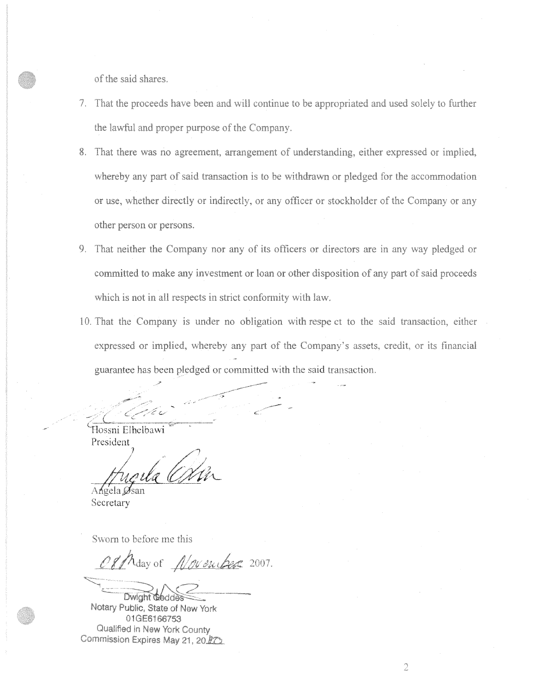of the said shares.

- 7. That the proceeds have been and will continue to be appropriated and used solely to further the lawful and proper purpose of the Company.
- 8. That there was no agreement, arrangement of understanding, either expressed or implied, whereby any part of said transaction is to be withdrawn or pledged for the accommodation or use, whether directly or indirectly, or any officer or stockholder of the Company or any other person or persons.
- 9. That neither the Company nor any of its officers or directors are in any way pledged or committed to make any investment or loan or other disposition of any part of said proceeds which is not in all respects in strict conformity with law.
- 10. That the Company is under no obligation with respe ct to the said transaction, either expressed or implied, whereby any part of the Company's assets, credit, or its financial guarantee has been pledged or committed with the said transaction.

---\_\_ *c\_/\_,.,/* ,:! v (\_ ,

~Iossni E!hdbawi President

7

Angela Øsan Secretary

Sworn to before me this

Of May of November 2007.  $\sqrt{2\pi\sqrt{2}}$ 

.

Dwight **G** Notary Public, State of New York 01 GE6166753 Qualified in New York County Commission Expires May 21, 20<sup>0</sup>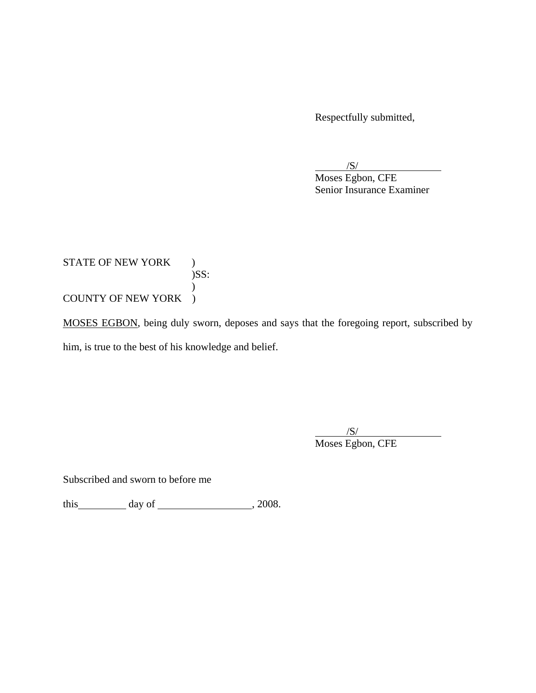Respectfully submitted,

 $\overline{\phantom{a}}$ /S/

Moses Egbon, CFE Senior Insurance Examiner

STATE OF NEW YORK ) )SS:  $\mathcal{L}$ COUNTY OF NEW YORK )

MOSES EGBON, being duly sworn, deposes and says that the foregoing report, subscribed by him, is true to the best of his knowledge and belief.

 $\overline{\phantom{a}}$ /S/ Moses Egbon, CFE

Subscribed and sworn to before me

this day of , 2008.